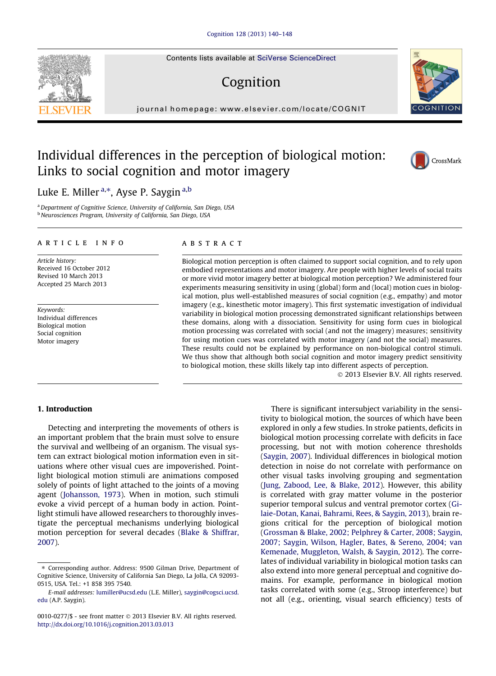Contents lists available at [SciVerse ScienceDirect](http://www.sciencedirect.com/science/journal/00100277)

# Cognition

journal homepage: [www.elsevier.com/locate/COGNIT](http://www.elsevier.com/locate/COGNIT)

# Individual differences in the perception of biological motion: Links to social cognition and motor imagery

Luke E. Miller<sup>a,\*</sup>, Ayse P. Saygin<sup>a,b</sup>

<sup>a</sup> Department of Cognitive Science, University of California, San Diego, USA **b Neurosciences Program, University of California, San Diego, USA** 

#### article info

Article history: Received 16 October 2012 Revised 10 March 2013 Accepted 25 March 2013

Keywords: Individual differences Biological motion Social cognition Motor imagery

## **ABSTRACT**

Biological motion perception is often claimed to support social cognition, and to rely upon embodied representations and motor imagery. Are people with higher levels of social traits or more vivid motor imagery better at biological motion perception? We administered four experiments measuring sensitivity in using (global) form and (local) motion cues in biological motion, plus well-established measures of social cognition (e.g., empathy) and motor imagery (e.g., kinesthetic motor imagery). This first systematic investigation of individual variability in biological motion processing demonstrated significant relationships between these domains, along with a dissociation. Sensitivity for using form cues in biological motion processing was correlated with social (and not the imagery) measures; sensitivity for using motion cues was correlated with motor imagery (and not the social) measures. These results could not be explained by performance on non-biological control stimuli. We thus show that although both social cognition and motor imagery predict sensitivity to biological motion, these skills likely tap into different aspects of perception.

- 2013 Elsevier B.V. All rights reserved.

# 1. Introduction

Detecting and interpreting the movements of others is an important problem that the brain must solve to ensure the survival and wellbeing of an organism. The visual system can extract biological motion information even in situations where other visual cues are impoverished. Pointlight biological motion stimuli are animations composed solely of points of light attached to the joints of a moving agent [\(Johansson, 1973\)](#page-8-0). When in motion, such stimuli evoke a vivid percept of a human body in action. Pointlight stimuli have allowed researchers to thoroughly investigate the perceptual mechanisms underlying biological motion perception for several decades ([Blake & Shiffrar,](#page-7-0) [2007](#page-7-0)).

There is significant intersubject variability in the sensitivity to biological motion, the sources of which have been explored in only a few studies. In stroke patients, deficits in biological motion processing correlate with deficits in face processing, but not with motion coherence thresholds [\(Saygin, 2007\)](#page-8-0). Individual differences in biological motion detection in noise do not correlate with performance on other visual tasks involving grouping and segmentation [\(Jung, Zabood, Lee, & Blake, 2012](#page-8-0)). However, this ability is correlated with gray matter volume in the posterior superior temporal sulcus and ventral premotor cortex ([Gi](#page-7-0)[laie-Dotan, Kanai, Bahrami, Rees, & Saygin, 2013\)](#page-7-0), brain regions critical for the perception of biological motion [\(Grossman & Blake, 2002; Pelphrey & Carter, 2008; Saygin,](#page-8-0) [2007; Saygin, Wilson, Hagler, Bates, & Sereno, 2004; van](#page-8-0) [Kemenade, Muggleton, Walsh, & Saygin, 2012\)](#page-8-0). The correlates of individual variability in biological motion tasks can also extend into more general perceptual and cognitive domains. For example, performance in biological motion tasks correlated with some (e.g., Stroop interference) but not all (e.g., orienting, visual search efficiency) tests of







<sup>⇑</sup> Corresponding author. Address: 9500 Gilman Drive, Department of Cognitive Science, University of California San Diego, La Jolla, CA 92093- 0515, USA. Tel.: +1 858 395 7540.

E-mail addresses: [lumiller@ucsd.edu](mailto:lumiller@ucsd.edu) (L.E. Miller), [saygin@cogsci.ucsd.](mailto:saygin@cogsci.ucsd.edu) [edu](mailto:saygin@cogsci.ucsd.edu) (A.P. Saygin).

<sup>0010-0277/\$ -</sup> see front matter © 2013 Elsevier B.V. All rights reserved. <http://dx.doi.org/10.1016/j.cognition.2013.03.013>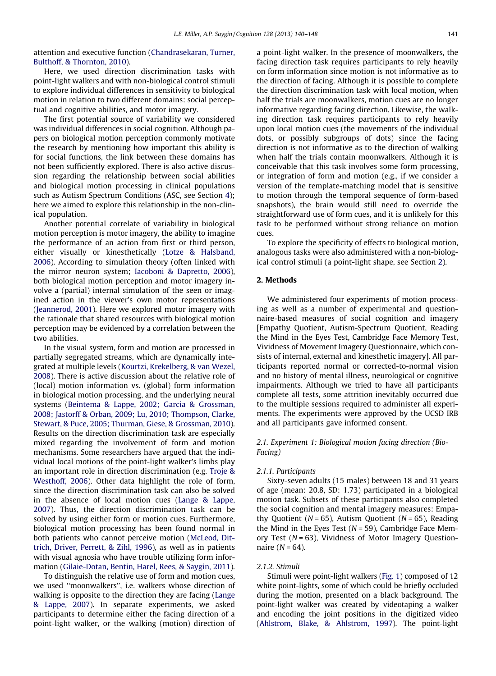attention and executive function ([Chandrasekaran, Turner,](#page-7-0) [Bulthoff, & Thornton, 2010\)](#page-7-0).

Here, we used direction discrimination tasks with point-light walkers and with non-biological control stimuli to explore individual differences in sensitivity to biological motion in relation to two different domains: social perceptual and cognitive abilities, and motor imagery.

The first potential source of variability we considered was individual differences in social cognition. Although papers on biological motion perception commonly motivate the research by mentioning how important this ability is for social functions, the link between these domains has not been sufficiently explored. There is also active discussion regarding the relationship between social abilities and biological motion processing in clinical populations such as Autism Spectrum Conditions (ASC, see Section 4); here we aimed to explore this relationship in the non-clinical population.

Another potential correlate of variability in biological motion perception is motor imagery, the ability to imagine the performance of an action from first or third person, either visually or kinesthetically ([Lotze & Halsband,](#page-8-0) [2006\)](#page-8-0). According to simulation theory (often linked with the mirror neuron system; [Iacoboni & Dapretto, 2006](#page-8-0)), both biological motion perception and motor imagery involve a (partial) internal simulation of the seen or imagined action in the viewer's own motor representations ([Jeannerod, 2001\)](#page-8-0). Here we explored motor imagery with the rationale that shared resources with biological motion perception may be evidenced by a correlation between the two abilities.

In the visual system, form and motion are processed in partially segregated streams, which are dynamically integrated at multiple levels [\(Kourtzi, Krekelberg, & van Wezel,](#page-8-0) [2008\)](#page-8-0). There is active discussion about the relative role of (local) motion information vs. (global) form information in biological motion processing, and the underlying neural systems ([Beintema & Lappe, 2002; Garcia & Grossman,](#page-7-0) [2008; Jastorff & Orban, 2009; Lu, 2010; Thompson, Clarke,](#page-7-0) [Stewart, & Puce, 2005; Thurman, Giese, & Grossman, 2010](#page-7-0)). Results on the direction discrimination task are especially mixed regarding the involvement of form and motion mechanisms. Some researchers have argued that the individual local motions of the point-light walker's limbs play an important role in direction discrimination (e.g. [Troje &](#page-8-0) [Westhoff, 2006](#page-8-0)). Other data highlight the role of form, since the direction discrimination task can also be solved in the absence of local motion cues ([Lange & Lappe,](#page-8-0) [2007\)](#page-8-0). Thus, the direction discrimination task can be solved by using either form or motion cues. Furthermore, biological motion processing has been found normal in both patients who cannot perceive motion ([McLeod, Dit](#page-8-0)[trich, Driver, Perrett, & Zihl, 1996](#page-8-0)), as well as in patients with visual agnosia who have trouble utilizing form information [\(Gilaie-Dotan, Bentin, Harel, Rees, & Saygin, 2011](#page-7-0)).

To distinguish the relative use of form and motion cues, we used ''moonwalkers'', i.e. walkers whose direction of walking is opposite to the direction they are facing [\(Lange](#page-8-0) [& Lappe, 2007\)](#page-8-0). In separate experiments, we asked participants to determine either the facing direction of a point-light walker, or the walking (motion) direction of a point-light walker. In the presence of moonwalkers, the facing direction task requires participants to rely heavily on form information since motion is not informative as to the direction of facing. Although it is possible to complete the direction discrimination task with local motion, when half the trials are moonwalkers, motion cues are no longer informative regarding facing direction. Likewise, the walking direction task requires participants to rely heavily upon local motion cues (the movements of the individual dots, or possibly subgroups of dots) since the facing direction is not informative as to the direction of walking when half the trials contain moonwalkers. Although it is conceivable that this task involves some form processing, or integration of form and motion (e.g., if we consider a version of the template-matching model that is sensitive to motion through the temporal sequence of form-based snapshots), the brain would still need to override the straightforward use of form cues, and it is unlikely for this task to be performed without strong reliance on motion cues.

To explore the specificity of effects to biological motion, analogous tasks were also administered with a non-biological control stimuli (a point-light shape, see Section 2).

## 2. Methods

We administered four experiments of motion processing as well as a number of experimental and questionnaire-based measures of social cognition and imagery [Empathy Quotient, Autism-Spectrum Quotient, Reading the Mind in the Eyes Test, Cambridge Face Memory Test, Vividness of Movement Imagery Questionnaire, which consists of internal, external and kinesthetic imagery]. All participants reported normal or corrected-to-normal vision and no history of mental illness, neurological or cognitive impairments. Although we tried to have all participants complete all tests, some attrition inevitably occurred due to the multiple sessions required to administer all experiments. The experiments were approved by the UCSD IRB and all participants gave informed consent.

# 2.1. Experiment 1: Biological motion facing direction (Bio-Facing)

#### 2.1.1. Participants

Sixty-seven adults (15 males) between 18 and 31 years of age (mean: 20.8, SD: 1.73) participated in a biological motion task. Subsets of these participants also completed the social cognition and mental imagery measures: Empathy Quotient ( $N = 65$ ), Autism Quotient ( $N = 65$ ), Reading the Mind in the Eyes Test ( $N = 59$ ), Cambridge Face Memory Test ( $N = 63$ ), Vividness of Motor Imagery Questionnaire  $(N = 64)$ .

#### 2.1.2. Stimuli

Stimuli were point-light walkers [\(Fig. 1](#page-2-0)) composed of 12 white point-lights, some of which could be briefly occluded during the motion, presented on a black background. The point-light walker was created by videotaping a walker and encoding the joint positions in the digitized video [\(Ahlstrom, Blake, & Ahlstrom, 1997](#page-7-0)). The point-light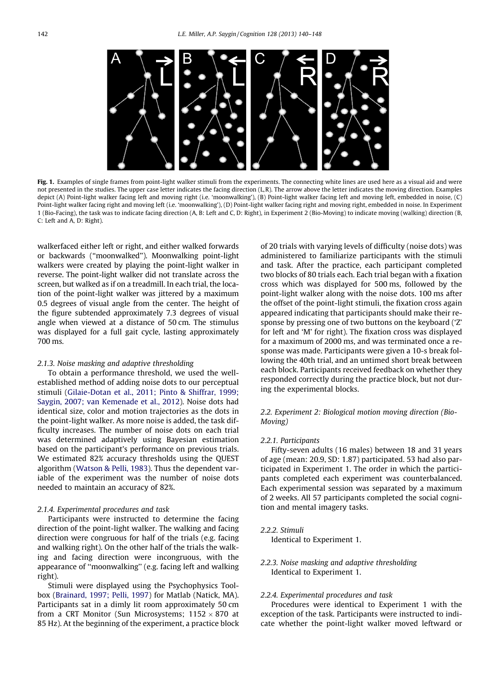<span id="page-2-0"></span>

Fig. 1. Examples of single frames from point-light walker stimuli from the experiments. The connecting white lines are used here as a visual aid and were not presented in the studies. The upper case letter indicates the facing direction (L,R). The arrow above the letter indicates the moving direction. Examples depict (A) Point-light walker facing left and moving right (i.e. 'moonwalking'), (B) Point-light walker facing left and moving left, embedded in noise, (C) Point-light walker facing right and moving left (i.e. 'moonwalking'), (D) Point-light walker facing right and moving right, embedded in noise. In Experiment 1 (Bio-Facing), the task was to indicate facing direction (A, B: Left and C, D: Right), in Experiment 2 (Bio-Moving) to indicate moving (walking) direction (B, C: Left and A, D: Right).

walkerfaced either left or right, and either walked forwards or backwards (''moonwalked''). Moonwalking point-light walkers were created by playing the point-light walker in reverse. The point-light walker did not translate across the screen, but walked as if on a treadmill. In each trial, the location of the point-light walker was jittered by a maximum 0.5 degrees of visual angle from the center. The height of the figure subtended approximately 7.3 degrees of visual angle when viewed at a distance of 50 cm. The stimulus was displayed for a full gait cycle, lasting approximately 700 ms.

#### 2.1.3. Noise masking and adaptive thresholding

To obtain a performance threshold, we used the wellestablished method of adding noise dots to our perceptual stimuli [\(Gilaie-Dotan et al., 2011; Pinto & Shiffrar, 1999;](#page-7-0) [Saygin, 2007; van Kemenade et al., 2012](#page-7-0)). Noise dots had identical size, color and motion trajectories as the dots in the point-light walker. As more noise is added, the task difficulty increases. The number of noise dots on each trial was determined adaptively using Bayesian estimation based on the participant's performance on previous trials. We estimated 82% accuracy thresholds using the QUEST algorithm ([Watson & Pelli, 1983](#page-8-0)). Thus the dependent variable of the experiment was the number of noise dots needed to maintain an accuracy of 82%.

### 2.1.4. Experimental procedures and task

Participants were instructed to determine the facing direction of the point-light walker. The walking and facing direction were congruous for half of the trials (e.g. facing and walking right). On the other half of the trials the walking and facing direction were incongruous, with the appearance of ''moonwalking'' (e.g. facing left and walking right).

Stimuli were displayed using the Psychophysics Toolbox [\(Brainard, 1997; Pelli, 1997](#page-7-0)) for Matlab (Natick, MA). Participants sat in a dimly lit room approximately 50 cm from a CRT Monitor (Sun Microsystems;  $1152 \times 870$  at 85 Hz). At the beginning of the experiment, a practice block of 20 trials with varying levels of difficulty (noise dots) was administered to familiarize participants with the stimuli and task. After the practice, each participant completed two blocks of 80 trials each. Each trial began with a fixation cross which was displayed for 500 ms, followed by the point-light walker along with the noise dots. 100 ms after the offset of the point-light stimuli, the fixation cross again appeared indicating that participants should make their response by pressing one of two buttons on the keyboard ('Z' for left and 'M' for right). The fixation cross was displayed for a maximum of 2000 ms, and was terminated once a response was made. Participants were given a 10-s break following the 40th trial, and an untimed short break between each block. Participants received feedback on whether they responded correctly during the practice block, but not during the experimental blocks.

# 2.2. Experiment 2: Biological motion moving direction (Bio-Moving)

#### 2.2.1. Participants

Fifty-seven adults (16 males) between 18 and 31 years of age (mean: 20.9, SD: 1.87) participated. 53 had also participated in Experiment 1. The order in which the participants completed each experiment was counterbalanced. Each experimental session was separated by a maximum of 2 weeks. All 57 participants completed the social cognition and mental imagery tasks.

#### 2.2.2. Stimuli

Identical to Experiment 1.

2.2.3. Noise masking and adaptive thresholding Identical to Experiment 1.

#### 2.2.4. Experimental procedures and task

Procedures were identical to Experiment 1 with the exception of the task. Participants were instructed to indicate whether the point-light walker moved leftward or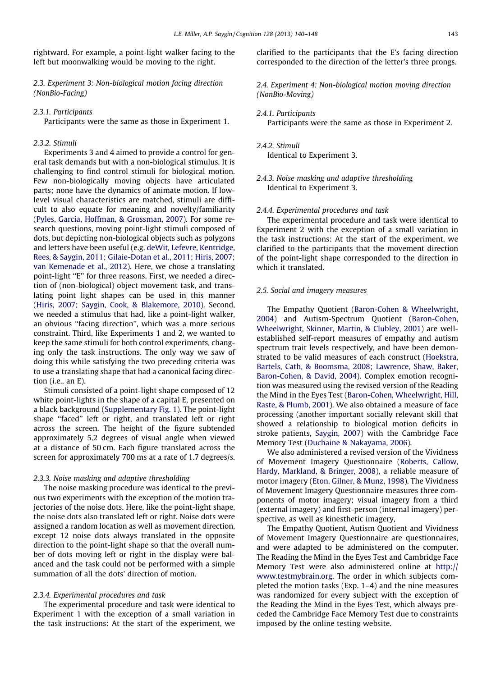rightward. For example, a point-light walker facing to the left but moonwalking would be moving to the right.

2.3. Experiment 3: Non-biological motion facing direction (NonBio-Facing)

### 2.3.1. Participants

Participants were the same as those in Experiment 1.

## 2.3.2. Stimuli

Experiments 3 and 4 aimed to provide a control for general task demands but with a non-biological stimulus. It is challenging to find control stimuli for biological motion. Few non-biologically moving objects have articulated parts; none have the dynamics of animate motion. If lowlevel visual characteristics are matched, stimuli are difficult to also equate for meaning and novelty/familiarity ([Pyles, Garcia, Hoffman, & Grossman, 2007](#page-8-0)). For some research questions, moving point-light stimuli composed of dots, but depicting non-biological objects such as polygons and letters have been useful (e.g. [deWit, Lefevre, Kentridge,](#page-7-0) [Rees, & Saygin, 2011; Gilaie-Dotan et al., 2011; Hiris, 2007;](#page-7-0) [van Kemenade et al., 2012\)](#page-7-0). Here, we chose a translating point-light ''E'' for three reasons. First, we needed a direction of (non-biological) object movement task, and translating point light shapes can be used in this manner ([Hiris, 2007; Saygin, Cook, & Blakemore, 2010](#page-8-0)). Second, we needed a stimulus that had, like a point-light walker, an obvious ''facing direction'', which was a more serious constraint. Third, like Experiments 1 and 2, we wanted to keep the same stimuli for both control experiments, changing only the task instructions. The only way we saw of doing this while satisfying the two preceding criteria was to use a translating shape that had a canonical facing direction (i.e., an E).

Stimuli consisted of a point-light shape composed of 12 white point-lights in the shape of a capital E, presented on a black background (Supplementary Fig. 1). The point-light shape ''faced'' left or right, and translated left or right across the screen. The height of the figure subtended approximately 5.2 degrees of visual angle when viewed at a distance of 50 cm. Each figure translated across the screen for approximately 700 ms at a rate of 1.7 degrees/s.

#### 2.3.3. Noise masking and adaptive thresholding

The noise masking procedure was identical to the previous two experiments with the exception of the motion trajectories of the noise dots. Here, like the point-light shape, the noise dots also translated left or right. Noise dots were assigned a random location as well as movement direction, except 12 noise dots always translated in the opposite direction to the point-light shape so that the overall number of dots moving left or right in the display were balanced and the task could not be performed with a simple summation of all the dots' direction of motion.

#### 2.3.4. Experimental procedures and task

The experimental procedure and task were identical to Experiment 1 with the exception of a small variation in the task instructions: At the start of the experiment, we clarified to the participants that the E's facing direction corresponded to the direction of the letter's three prongs.

2.4. Experiment 4: Non-biological motion moving direction (NonBio-Moving)

## 2.4.1. Participants

Participants were the same as those in Experiment 2.

# 2.4.2. Stimuli Identical to Experiment 3.

2.4.3. Noise masking and adaptive thresholding Identical to Experiment 3.

## 2.4.4. Experimental procedures and task

The experimental procedure and task were identical to Experiment 2 with the exception of a small variation in the task instructions: At the start of the experiment, we clarified to the participants that the movement direction of the point-light shape corresponded to the direction in which it translated.

#### 2.5. Social and imagery measures

The Empathy Quotient [\(Baron-Cohen & Wheelwright,](#page-7-0) [2004\)](#page-7-0) and Autism-Spectrum Quotient [\(Baron-Cohen,](#page-7-0) [Wheelwright, Skinner, Martin, & Clubley, 2001](#page-7-0)) are wellestablished self-report measures of empathy and autism spectrum trait levels respectively, and have been demonstrated to be valid measures of each construct [\(Hoekstra,](#page-8-0) [Bartels, Cath, & Boomsma, 2008; Lawrence, Shaw, Baker,](#page-8-0) [Baron-Cohen, & David, 2004\)](#page-8-0). Complex emotion recognition was measured using the revised version of the Reading the Mind in the Eyes Test [\(Baron-Cohen, Wheelwright, Hill,](#page-7-0) [Raste, & Plumb, 2001\)](#page-7-0). We also obtained a measure of face processing (another important socially relevant skill that showed a relationship to biological motion deficits in stroke patients, [Saygin, 2007](#page-8-0)) with the Cambridge Face Memory Test ([Duchaine & Nakayama, 2006](#page-7-0)).

We also administered a revised version of the Vividness of Movement Imagery Questionnaire [\(Roberts, Callow,](#page-8-0) [Hardy, Markland, & Bringer, 2008\)](#page-8-0), a reliable measure of motor imagery [\(Eton, Gilner, & Munz, 1998](#page-7-0)). The Vividness of Movement Imagery Questionnaire measures three components of motor imagery; visual imagery from a third (external imagery) and first-person (internal imagery) perspective, as well as kinesthetic imagery,

The Empathy Quotient, Autism Quotient and Vividness of Movement Imagery Questionnaire are questionnaires, and were adapted to be administered on the computer. The Reading the Mind in the Eyes Test and Cambridge Face Memory Test were also administered online at [http://](http://www.testmybrain.org) [www.testmybrain.org.](http://www.testmybrain.org) The order in which subjects completed the motion tasks (Exp. 1–4) and the nine measures was randomized for every subject with the exception of the Reading the Mind in the Eyes Test, which always preceded the Cambridge Face Memory Test due to constraints imposed by the online testing website.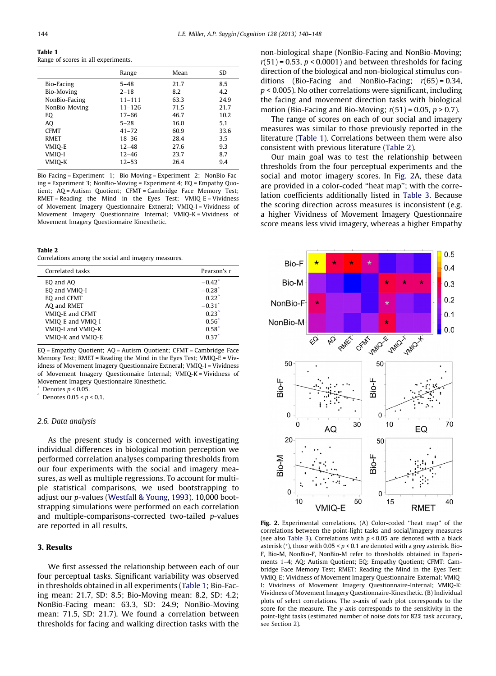<span id="page-4-0"></span>Table 1 Range of scores in all experiments.

|               | Range      | Mean | SD.  |
|---------------|------------|------|------|
| Bio-Facing    | $5 - 48$   | 21.7 | 8.5  |
| Bio-Moving    | $2 - 18$   | 8.2  | 4.2  |
| NonBio-Facing | $11 - 111$ | 63.3 | 24.9 |
| NonBio-Moving | $11 - 126$ | 71.5 | 21.7 |
| EQ            | 17-66      | 46.7 | 10.2 |
| AO            | $5 - 28$   | 16.0 | 5.1  |
| <b>CFMT</b>   | $41 - 72$  | 60.9 | 33.6 |
| <b>RMET</b>   | $18 - 36$  | 28.4 | 3.5  |
| VMIO-E        | $12 - 48$  | 27.6 | 9.3  |
| VMIQ-I        | $12 - 46$  | 23.7 | 8.7  |
| VMIO-K        | $12 - 53$  | 26.4 | 9.4  |
|               |            |      |      |

Bio-Facing = Experiment 1; Bio-Moving = Experiment 2; NonBio-Facing = Experiment 3; NonBio-Moving = Experiment 4; EQ = Empathy Quotient; AQ = Autism Quotient; CFMT = Cambridge Face Memory Test; RMET = Reading the Mind in the Eyes Test; VMIQ-E = Vividness of Movement Imagery Questionnaire Extneral; VMIQ-I = Vividness of Movement Imagery Questionnaire Internal; VMIQ-K = Vividness of Movement Imagery Questionnaire Kinesthetic.

#### Table 2

Correlations among the social and imagery measures.

| Correlated tasks                                                                                                      | Pearson's r                                                                                                                       |
|-----------------------------------------------------------------------------------------------------------------------|-----------------------------------------------------------------------------------------------------------------------------------|
| EO and AO<br>EQ and VMIQ-I<br>EQ and CFMT<br>AQ and RMET<br>VMIO-E and CFMT<br>VMIO-E and VMIO-I<br>VMIO-I and VMIO-K | $-0.42$ <sup>*</sup><br>$-0.28$ <sup>*</sup><br>$0.22^{\degree}$<br>$-0.31$ <sup>*</sup><br>$0.23^{\circ}$<br>$0.56*$<br>$0.58^*$ |
| VMIO-K and VMIO-E                                                                                                     | $0.37$ <sup>*</sup>                                                                                                               |

EQ = Empathy Quotient; AQ = Autism Quotient; CFMT = Cambridge Face Memory Test; RMET = Reading the Mind in the Eyes Test; VMIQ-E = Vividness of Movement Imagery Questionnaire Extneral; VMIQ-I = Vividness of Movement Imagery Questionnaire Internal; VMIQ-K = Vividness of Movement Imagery Questionnaire Kinesthetic.

Denotes  $p < 0.05$ .

Denotes  $0.05 < p < 0.1$ .

#### 2.6. Data analysis

As the present study is concerned with investigating individual differences in biological motion perception we performed correlation analyses comparing thresholds from our four experiments with the social and imagery measures, as well as multiple regressions. To account for multiple statistical comparisons, we used bootstrapping to adjust our p-values ([Westfall & Young, 1993](#page-8-0)). 10,000 bootstrapping simulations were performed on each correlation and multiple-comparisons-corrected two-tailed p-values are reported in all results.

# 3. Results

We first assessed the relationship between each of our four perceptual tasks. Significant variability was observed in thresholds obtained in all experiments (Table 1; Bio-Facing mean: 21.7, SD: 8.5; Bio-Moving mean: 8.2, SD: 4.2; NonBio-Facing mean: 63.3, SD: 24.9; NonBio-Moving mean: 71.5, SD: 21.7). We found a correlation between thresholds for facing and walking direction tasks with the

non-biological shape (NonBio-Facing and NonBio-Moving;  $r(51)$  = 0.53,  $p < 0.0001$ ) and between thresholds for facing direction of the biological and non-biological stimulus conditions (Bio-Facing and NonBio-Facing;  $r(65) = 0.34$ ,  $p$  < 0.005). No other correlations were significant, including the facing and movement direction tasks with biological motion (Bio-Facing and Bio-Moving;  $r(51) = 0.05$ ,  $p > 0.7$ ).

The range of scores on each of our social and imagery measures was similar to those previously reported in the literature (Table 1). Correlations between them were also consistent with previous literature (Table 2).

Our main goal was to test the relationship between thresholds from the four perceptual experiments and the social and motor imagery scores. In Fig. 2A, these data are provided in a color-coded ''heat map''; with the correlation coefficients additionally listed in [Table 3.](#page-5-0) Because the scoring direction across measures is inconsistent (e.g. a higher Vividness of Movement Imagery Questionnaire score means less vivid imagery, whereas a higher Empathy



Fig. 2. Experimental correlations. (A) Color-coded "heat map" of the correlations between the point-light tasks and social/imagery measures (see also [Table 3](#page-5-0)). Correlations with  $p < 0.05$  are denoted with a black asterisk (\*), those with  $0.05 < p < 0.1$  are denoted with a grey asterisk. Bio-F, Bio-M, NonBio-F, NonBio-M refer to thresholds obtained in Experiments 1–4; AQ: Autism Quotient; EQ: Empathy Quotient; CFMT: Cambridge Face Memory Test; RMET: Reading the Mind in the Eyes Test; VMIQ-E: Vividness of Movement Imagery Questionnaire-External; VMIQ-I: Vividness of Movement Imagery Questionnaire-Internal; VMIQ-K: Vividness of Movement Imagery Questionnaire-Kinesthetic. (B) Individual plots of select correlations. The x-axis of each plot corresponds to the score for the measure. The y-axis corresponds to the sensitivity in the point-light tasks (estimated number of noise dots for 82% task accuracy, see Section 2).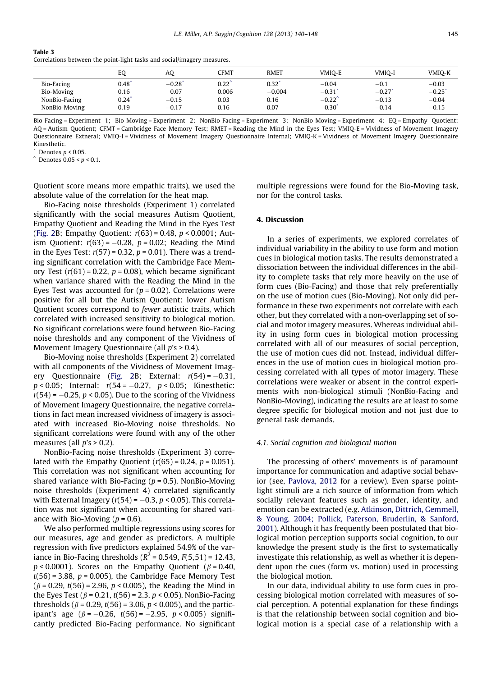<span id="page-5-0"></span>

|--|--|

Correlations between the point-light tasks and social/imagery measures.

|               | EQ   | AQ      | <b>CFMT</b>    | <b>RMET</b> | VMIO-E      | VMIO-I  | VMIO-K               |
|---------------|------|---------|----------------|-------------|-------------|---------|----------------------|
| Bio-Facing    | 0.48 | $-0.28$ | $0.22^{\circ}$ | 0.32        | $-0.04$     | $-0.1$  | $-0.03$              |
| Bio-Moving    | 0.16 | 0.07    | 0.006          | $-0.004$    | $-0.31$     | $-0.27$ | $-0.25$ <sup>*</sup> |
| NonBio-Facing | 0.24 | $-0.15$ | 0.03           | 0.16        | $-0.22$     | $-0.13$ | $-0.04$              |
| NonBio-Moving | 0.19 | $-0.17$ | 0.16           | 0.07        | $-0.30^{*}$ | $-0.14$ | $-0.15$              |

Bio-Facing = Experiment 1; Bio-Moving = Experiment 2; NonBio-Facing = Experiment 3; NonBio-Moving = Experiment 4; EQ = Empathy Quotient; AQ = Autism Quotient; CFMT = Cambridge Face Memory Test; RMET = Reading the Mind in the Eyes Test; VMIQ-E = Vividness of Movement Imagery Questionnaire Extneral; VMIQ-I = Vividness of Movement Imagery Questionnaire Internal; VMIQ-K = Vividness of Movement Imagery Questionnaire Kinesthetic.

Denotes  $p < 0.05$ .

 $\hat{ }$  Denotes 0.05 < p < 0.1.

Quotient score means more empathic traits), we used the absolute value of the correlation for the heat map.

Bio-Facing noise thresholds (Experiment 1) correlated significantly with the social measures Autism Quotient, Empathy Quotient and Reading the Mind in the Eyes Test ([Fig. 2B](#page-4-0); Empathy Quotient:  $r(63) = 0.48$ ,  $p < 0.0001$ ; Autism Quotient:  $r(63) = -0.28$ ,  $p = 0.02$ ; Reading the Mind in the Eyes Test:  $r(57) = 0.32$ ,  $p = 0.01$ ). There was a trending significant correlation with the Cambridge Face Memory Test  $(r(61) = 0.22, p = 0.08)$ , which became significant when variance shared with the Reading the Mind in the Eyes Test was accounted for  $(p = 0.02)$ . Correlations were positive for all but the Autism Quotient: lower Autism Quotient scores correspond to fewer autistic traits, which correlated with increased sensitivity to biological motion. No significant correlations were found between Bio-Facing noise thresholds and any component of the Vividness of Movement Imagery Questionnaire (all p's > 0.4).

Bio-Moving noise thresholds (Experiment 2) correlated with all components of the Vividness of Movement Imag-ery Questionnaire ([Fig. 2B](#page-4-0); External:  $r(54) = -0.31$ ,  $p < 0.05$ ; Internal:  $r(54 = -0.27, p < 0.05$ ; Kinesthetic:  $r(54) = -0.25$ ,  $p < 0.05$ ). Due to the scoring of the Vividness of Movement Imagery Questionnaire, the negative correlations in fact mean increased vividness of imagery is associated with increased Bio-Moving noise thresholds. No significant correlations were found with any of the other measures (all  $p's > 0.2$ ).

NonBio-Facing noise thresholds (Experiment 3) correlated with the Empathy Quotient  $(r(65) = 0.24, p = 0.051)$ . This correlation was not significant when accounting for shared variance with Bio-Facing ( $p = 0.5$ ). NonBio-Moving noise thresholds (Experiment 4) correlated significantly with External Imagery ( $r(54) = -0.3$ ,  $p < 0.05$ ). This correlation was not significant when accounting for shared variance with Bio-Moving ( $p = 0.6$ ).

We also performed multiple regressions using scores for our measures, age and gender as predictors. A multiple regression with five predictors explained 54.9% of the variance in Bio-Facing thresholds ( $R^2$  = 0.549,  $F(5,51)$  = 12.43,  $p < 0.0001$ ). Scores on the Empathy Quotient ( $\beta = 0.40$ ,  $t(56)$  = 3.88,  $p$  = 0.005), the Cambridge Face Memory Test  $(\beta = 0.29, t(56) = 2.96, p < 0.005)$ , the Reading the Mind in the Eyes Test ( $\beta$  = 0.21,  $t(56)$  = 2.3,  $p$  < 0.05), NonBio-Facing thresholds ( $\beta$  = 0.29,  $t(56)$  = 3.06,  $p$  < 0.005), and the participant's age  $(\beta = -0.26, t(56) = -2.95, p < 0.005)$  significantly predicted Bio-Facing performance. No significant multiple regressions were found for the Bio-Moving task, nor for the control tasks.

## 4. Discussion

In a series of experiments, we explored correlates of individual variability in the ability to use form and motion cues in biological motion tasks. The results demonstrated a dissociation between the individual differences in the ability to complete tasks that rely more heavily on the use of form cues (Bio-Facing) and those that rely preferentially on the use of motion cues (Bio-Moving). Not only did performance in these two experiments not correlate with each other, but they correlated with a non-overlapping set of social and motor imagery measures. Whereas individual ability in using form cues in biological motion processing correlated with all of our measures of social perception, the use of motion cues did not. Instead, individual differences in the use of motion cues in biological motion processing correlated with all types of motor imagery. These correlations were weaker or absent in the control experiments with non-biological stimuli (NonBio-Facing and NonBio-Moving), indicating the results are at least to some degree specific for biological motion and not just due to general task demands.

#### 4.1. Social cognition and biological motion

The processing of others' movements is of paramount importance for communication and adaptive social behavior (see, [Pavlova, 2012](#page-8-0) for a review). Even sparse pointlight stimuli are a rich source of information from which socially relevant features such as gender, identity, and emotion can be extracted (e.g. [Atkinson, Dittrich, Gemmell,](#page-7-0) [& Young, 2004; Pollick, Paterson, Bruderlin, & Sanford,](#page-7-0) [2001\)](#page-7-0). Although it has frequently been postulated that biological motion perception supports social cognition, to our knowledge the present study is the first to systematically investigate this relationship, as well as whether it is dependent upon the cues (form vs. motion) used in processing the biological motion.

In our data, individual ability to use form cues in processing biological motion correlated with measures of social perception. A potential explanation for these findings is that the relationship between social cognition and biological motion is a special case of a relationship with a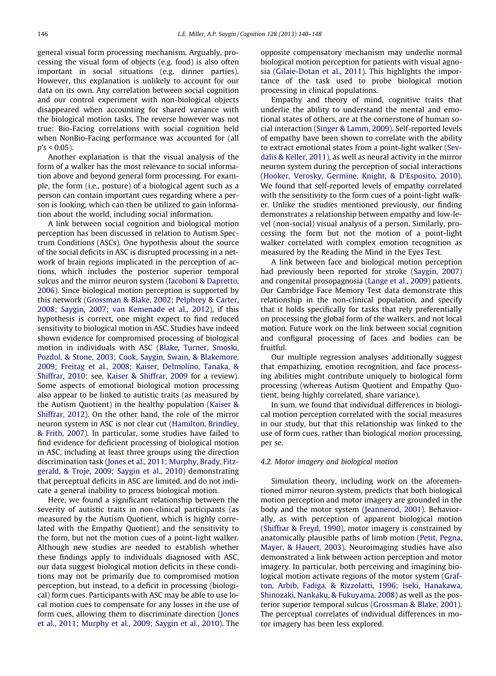general visual form processing mechanism. Arguably, processing the visual form of objects (e.g. food) is also often important in social situations (e.g. dinner parties). However, this explanation is unlikely to account for our data on its own. Any correlation between social cognition and our control experiment with non-biological objects disappeared when accounting for shared variance with the biological motion tasks. The reverse however was not true: Bio-Facing correlations with social cognition held when NonBio-Facing performance was accounted for (all  $p's < 0.05$ ).

Another explanation is that the visual analysis of the form of a walker has the most relevance to social information above and beyond general form processing. For example, the form (i.e., posture) of a biological agent such as a person can contain important cues regarding where a person is looking, which can then be utilized to gain information about the world, including social information.

A link between social cognition and biological motion perception has been discussed in relation to Autism Spectrum Conditions (ASCs). One hypothesis about the source of the social deficits in ASC is disrupted processing in a network of brain regions implicated in the perception of actions, which includes the posterior superior temporal sulcus and the mirror neuron system [\(Iacoboni & Dapretto,](#page-8-0) [2006](#page-8-0)). Since biological motion perception is supported by this network [\(Grossman & Blake, 2002; Pelphrey & Carter,](#page-8-0) [2008; Saygin, 2007; van Kemenade et al., 2012](#page-8-0)), if this hypothesis is correct, one might expect to find reduced sensitivity to biological motion in ASC. Studies have indeed shown evidence for compromised processing of biological motion in individuals with ASC ([Blake, Turner, Smoski,](#page-7-0) [Pozdol, & Stone, 2003; Cook, Saygin, Swain, & Blakemore,](#page-7-0) [2009; Freitag et al., 2008; Kaiser, Delmolino, Tanaka, &](#page-7-0) [Shiffrar, 2010](#page-7-0); see, [Kaiser & Shiffrar, 2009](#page-8-0) for a review). Some aspects of emotional biological motion processing also appear to be linked to autistic traits (as measured by the Autism Quotient) in the healthy population [\(Kaiser &](#page-8-0) [Shiffrar, 2012](#page-8-0)). On the other hand, the role of the mirror neuron system in ASC is not clear cut ([Hamilton, Brindley,](#page-8-0) [& Frith, 2007\)](#page-8-0). In particular, some studies have failed to find evidence for deficient processing of biological motion in ASC, including at least three groups using the direction discrimination task [\(Jones et al., 2011; Murphy, Brady, Fitz](#page-8-0)[gerald, & Troje, 2009; Saygin et al., 2010\)](#page-8-0) demonstrating that perceptual deficits in ASC are limited, and do not indicate a general inability to process biological motion.

Here, we found a significant relationship between the severity of autistic traits in non-clinical participants (as measured by the Autism Quotient, which is highly correlated with the Empathy Quotient) and the sensitivity to the form, but not the motion cues of a point-light walker. Although new studies are needed to establish whether these findings apply to individuals diagnosed with ASC, our data suggest biological motion deficits in these conditions may not be primarily due to compromised motion perception, but instead, to a deficit in processing (biological) form cues. Participants with ASC may be able to use local motion cues to compensate for any losses in the use of form cues, allowing them to discriminate direction [\(Jones](#page-8-0) [et al., 2011; Murphy et al., 2009; Saygin et al., 2010\)](#page-8-0). The

opposite compensatory mechanism may underlie normal biological motion perception for patients with visual agnosia ([Gilaie-Dotan et al., 2011](#page-7-0)). This highlights the importance of the task used to probe biological motion processing in clinical populations.

Empathy and theory of mind, cognitive traits that underlie the ability to understand the mental and emotional states of others, are at the cornerstone of human social interaction ([Singer & Lamm, 2009](#page-8-0)). Self-reported levels of empathy have been shown to correlate with the ability to extract emotional states from a point-light walker [\(Sev](#page-8-0)[dalis & Keller, 2011](#page-8-0)), as well as neural activity in the mirror neuron system during the perception of social interactions [\(Hooker, Verosky, Germine, Knight, & D'Esposito, 2010](#page-8-0)). We found that self-reported levels of empathy correlated with the sensitivity to the form cues of a point-light walker. Unlike the studies mentioned previously, our finding demonstrates a relationship between empathy and low-level (non-social) visual analysis of a person. Similarly, processing the form but not the motion of a point-light walker correlated with complex emotion recognition as measured by the Reading the Mind in the Eyes Test.

A link between face and biological motion perception had previously been reported for stroke [\(Saygin, 2007](#page-8-0)) and congenital prosopagnosia ([Lange et al., 2009\)](#page-8-0) patients. Our Cambridge Face Memory Test data demonstrate this relationship in the non-clinical population, and specify that it holds specifically for tasks that rely preferentially on processing the global form of the walkers, and not local motion. Future work on the link between social cognition and configural processing of faces and bodies can be fruitful.

Our multiple regression analyses additionally suggest that empathizing, emotion recognition, and face processing abilities might contribute uniquely to biological form processing (whereas Autism Quotient and Empathy Quotient, being highly correlated, share variance).

In sum, we found that individual differences in biological motion perception correlated with the social measures in our study, but that this relationship was linked to the use of form cues, rather than biological motion processing, per se.

#### 4.2. Motor imagery and biological motion

Simulation theory, including work on the aforementioned mirror neuron system, predicts that both biological motion perception and motor imagery are grounded in the body and the motor system ([Jeannerod, 2001\)](#page-8-0). Behaviorally, as with perception of apparent biological motion [\(Shiffrar & Freyd, 1990\)](#page-8-0), motor imagery is constrained by anatomically plausible paths of limb motion [\(Petit, Pegna,](#page-8-0) [Mayer, & Hauert, 2003](#page-8-0)). Neuroimaging studies have also demonstrated a link between action perception and motor imagery. In particular, both perceiving and imagining biological motion activate regions of the motor system [\(Graf](#page-8-0)[ton, Arbib, Fadiga, & Rizzolatti, 1996; Iseki, Hanakawa,](#page-8-0) [Shinozaki, Nankaku, & Fukuyama, 2008\)](#page-8-0) as well as the posterior superior temporal sulcus [\(Grossman & Blake, 2001](#page-8-0)). The perceptual correlates of individual differences in motor imagery has been less explored.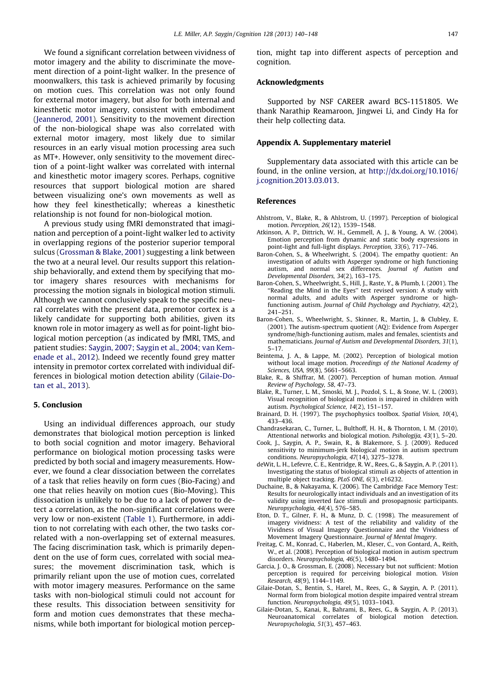<span id="page-7-0"></span>We found a significant correlation between vividness of motor imagery and the ability to discriminate the movement direction of a point-light walker. In the presence of moonwalkers, this task is achieved primarily by focusing on motion cues. This correlation was not only found for external motor imagery, but also for both internal and kinesthetic motor imagery, consistent with embodiment ([Jeannerod, 2001](#page-8-0)). Sensitivity to the movement direction of the non-biological shape was also correlated with external motor imagery, most likely due to similar resources in an early visual motion processing area such as MT+. However, only sensitivity to the movement direction of a point-light walker was correlated with internal and kinesthetic motor imagery scores. Perhaps, cognitive resources that support biological motion are shared between visualizing one's own movements as well as how they feel kinesthetically; whereas a kinesthetic relationship is not found for non-biological motion.

A previous study using fMRI demonstrated that imagination and perception of a point-light walker led to activity in overlapping regions of the posterior superior temporal sulcus [\(Grossman & Blake, 2001\)](#page-8-0) suggesting a link between the two at a neural level. Our results support this relationship behaviorally, and extend them by specifying that motor imagery shares resources with mechanisms for processing the motion signals in biological motion stimuli. Although we cannot conclusively speak to the specific neural correlates with the present data, premotor cortex is a likely candidate for supporting both abilities, given its known role in motor imagery as well as for point-light biological motion perception (as indicated by fMRI, TMS, and patient studies: [Saygin, 2007; Saygin et al., 2004; van Kem](#page-8-0)[enade et al., 2012\)](#page-8-0). Indeed we recently found grey matter intensity in premotor cortex correlated with individual differences in biological motion detection ability (Gilaie-Dotan et al., 2013).

# 5. Conclusion

Using an individual differences approach, our study demonstrates that biological motion perception is linked to both social cognition and motor imagery. Behavioral performance on biological motion processing tasks were predicted by both social and imagery measurements. However, we found a clear dissociation between the correlates of a task that relies heavily on form cues (Bio-Facing) and one that relies heavily on motion cues (Bio-Moving). This dissociation is unlikely to be due to a lack of power to detect a correlation, as the non-significant correlations were very low or non-existent ([Table 1](#page-4-0)). Furthermore, in addition to not correlating with each other, the two tasks correlated with a non-overlapping set of external measures. The facing discrimination task, which is primarily dependent on the use of form cues, correlated with social measures; the movement discrimination task, which is primarily reliant upon the use of motion cues, correlated with motor imagery measures. Performance on the same tasks with non-biological stimuli could not account for these results. This dissociation between sensitivity for form and motion cues demonstrates that these mechanisms, while both important for biological motion perception, might tap into different aspects of perception and cognition.

## Acknowledgments

Supported by NSF CAREER award BCS-1151805. We thank Narathip Reamaroon, Jingwei Li, and Cindy Ha for their help collecting data.

#### Appendix A. Supplementary materiel

Supplementary data associated with this article can be found, in the online version, at [http://dx.doi.org/10.1016/](http://dx.doi.org/10.1016/j.cognition.2013.03.013) [j.cognition.2013.03.013](http://dx.doi.org/10.1016/j.cognition.2013.03.013).

#### References

- Ahlstrom, V., Blake, R., & Ahlstrom, U. (1997). Perception of biological motion. Perception, 26(12), 1539–1548.
- Atkinson, A. P., Dittrich, W. H., Gemmell, A. J., & Young, A. W. (2004). Emotion perception from dynamic and static body expressions in point-light and full-light displays. Perception, 33(6), 717–746.
- Baron-Cohen, S., & Wheelwright, S. (2004). The empathy quotient: An investigation of adults with Asperger syndrome or high functioning autism, and normal sex differences. Journal of Autism and Developmental Disorders, 34(2), 163–175.
- Baron-Cohen, S., Wheelwright, S., Hill, J., Raste, Y., & Plumb, I. (2001). The ''Reading the Mind in the Eyes'' test revised version: A study with normal adults, and adults with Asperger syndrome or high-functioning autism. Journal of Child Psychology and Psychiatry, 42(2), 241–251.
- Baron-Cohen, S., Wheelwright, S., Skinner, R., Martin, J., & Clubley, E. (2001). The autism-spectrum quotient (AQ): Evidence from Asperger syndrome/high-functioning autism, males and females, scientists and mathematicians. Journal of Autism and Developmental Disorders, 31(1), 5–17.
- Beintema, J. A., & Lappe, M. (2002). Perception of biological motion without local image motion. Proceedings of the National Academy of Sciences, USA, 99(8), 5661–5663.
- Blake, R., & Shiffrar, M. (2007). Perception of human motion. Annual Review of Psychology, 58, 47–73.
- Blake, R., Turner, L. M., Smoski, M. J., Pozdol, S. L., & Stone, W. L. (2003). Visual recognition of biological motion is impaired in children with autism. Psychological Science, 14(2), 151–157.
- Brainard, D. H. (1997). The psychophysics toolbox. Spatial Vision, 10(4), 433–436.
- Chandrasekaran, C., Turner, L., Bulthoff, H. H., & Thornton, I. M. (2010). Attentional networks and biological motion. Psihologija, 43(1), 5–20.
- Cook, J., Saygin, A. P., Swain, R., & Blakemore, S. J. (2009). Reduced sensitivity to minimum-jerk biological motion in autism spectrum conditions. Neuropsychologia, 47(14), 3275–3278.
- deWit, L. H., Lefevre, C. E., Kentridge, R. W., Rees, G., & Saygin, A. P. (2011). Investigating the status of biological stimuli as objects of attention in multiple object tracking. PLoS ONE, 6(3), e16232.
- Duchaine, B., & Nakayama, K. (2006). The Cambridge Face Memory Test: Results for neurologically intact individuals and an investigation of its validity using inverted face stimuli and prosopagnosic participants. Neuropsychologia, 44(4), 576–585.
- Eton, D. T., Gilner, F. H., & Munz, D. C. (1998). The measurement of imagery vividness: A test of the reliability and validity of the Vividness of Visual Imagery Questionnaire and the Vividness of Movement Imagery Questionnaire. Journal of Mental Imagery.
- Freitag, C. M., Konrad, C., Haberlen, M., Kleser, C., von Gontard, A., Reith, W., et al. (2008). Perception of biological motion in autism spectrum disorders. Neuropsychologia, 46(5), 1480–1494.
- Garcia, J. O., & Grossman, E. (2008). Necessary but not sufficient: Motion perception is required for perceiving biological motion. Vision Research, 48(9), 1144–1149.
- Gilaie-Dotan, S., Bentin, S., Harel, M., Rees, G., & Saygin, A. P. (2011). Normal form from biological motion despite impaired ventral stream function. Neuropsychologia, 49(5), 1033–1043.
- Gilaie-Dotan, S., Kanai, R., Bahrami, B., Rees, G., & Saygin, A. P. (2013). Neuroanatomical correlates of biological motion detection. Neuropsychologia, 51(3), 457–463.